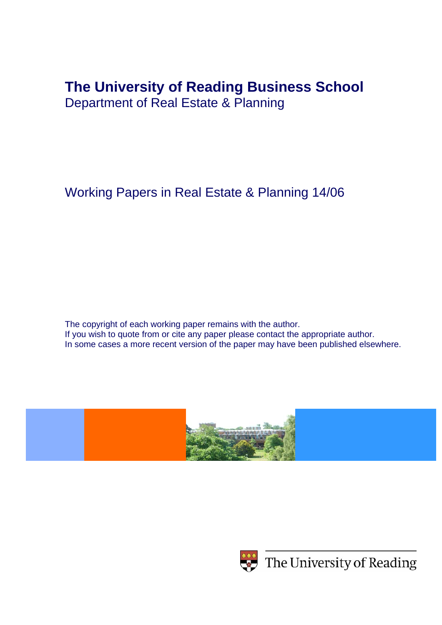# **The University of Reading Business School**

Department of Real Estate & Planning

Working Papers in Real Estate & Planning 14/06

The copyright of each working paper remains with the author. If you wish to quote from or cite any paper please contact the appropriate author. In some cases a more recent version of the paper may have been published elsewhere.





 $\leftrightarrow$  The University of Reading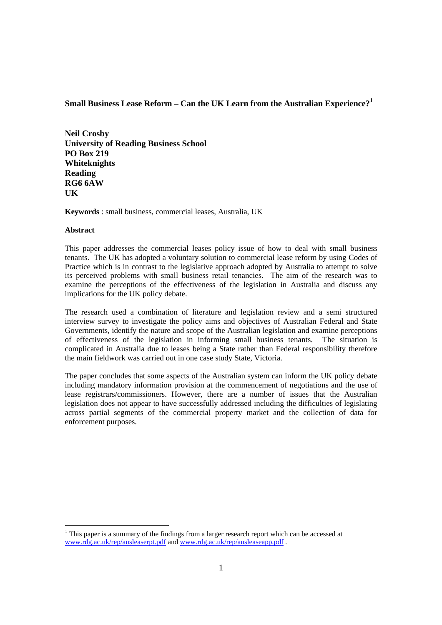## **Small Business Lease Reform – Can the UK Learn from the Australian Experience?<sup>1</sup>**

**Neil Crosby University of Reading Business School PO Box 219 Whiteknights Reading RG6 6AW UK**

**Keywords** : small business, commercial leases, Australia, UK

### **Abstract**

This paper addresses the commercial leases policy issue of how to deal with small business tenants. The UK has adopted a voluntary solution to commercial lease reform by using Codes of Practice which is in contrast to the legislative approach adopted by Australia to attempt to solve its perceived problems with small business retail tenancies. The aim of the research was to examine the perceptions of the effectiveness of the legislation in Australia and discuss any implications for the UK policy debate.

The research used a combination of literature and legislation review and a semi structured interview survey to investigate the policy aims and objectives of Australian Federal and State Governments, identify the nature and scope of the Australian legislation and examine perceptions of effectiveness of the legislation in informing small business tenants. The situation is complicated in Australia due to leases being a State rather than Federal responsibility therefore the main fieldwork was carried out in one case study State, Victoria.

The paper concludes that some aspects of the Australian system can inform the UK policy debate including mandatory information provision at the commencement of negotiations and the use of lease registrars/commissioners. However, there are a number of issues that the Australian legislation does not appear to have successfully addressed including the difficulties of legislating across partial segments of the commercial property market and the collection of data for enforcement purposes.

 $1$  This paper is a summary of the findings from a larger research report which can be accessed at www.rdg.ac.uk/rep/ausleaserpt.pdf and www.rdg.ac.uk/rep/ausleaseapp.pdf .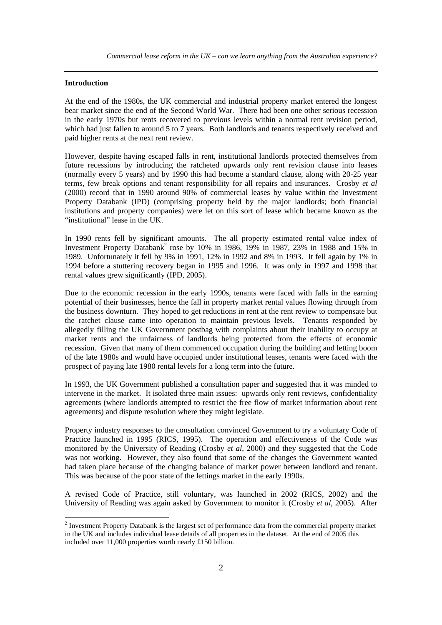#### **Introduction**

At the end of the 1980s, the UK commercial and industrial property market entered the longest bear market since the end of the Second World War. There had been one other serious recession in the early 1970s but rents recovered to previous levels within a normal rent revision period, which had just fallen to around 5 to 7 years. Both landlords and tenants respectively received and paid higher rents at the next rent review.

However, despite having escaped falls in rent, institutional landlords protected themselves from future recessions by introducing the ratcheted upwards only rent revision clause into leases (normally every 5 years) and by 1990 this had become a standard clause, along with 20-25 year terms, few break options and tenant responsibility for all repairs and insurances. Crosby *et al* (2000) record that in 1990 around 90% of commercial leases by value within the Investment Property Databank (IPD) (comprising property held by the major landlords; both financial institutions and property companies) were let on this sort of lease which became known as the "institutional" lease in the UK.

In 1990 rents fell by significant amounts. The all property estimated rental value index of Investment Property Databank<sup>2</sup> rose by 10% in 1986, 19% in 1987, 23% in 1988 and 15% in 1989. Unfortunately it fell by 9% in 1991, 12% in 1992 and 8% in 1993. It fell again by 1% in 1994 before a stuttering recovery began in 1995 and 1996. It was only in 1997 and 1998 that rental values grew significantly (IPD, 2005).

Due to the economic recession in the early 1990s, tenants were faced with falls in the earning potential of their businesses, hence the fall in property market rental values flowing through from the business downturn. They hoped to get reductions in rent at the rent review to compensate but the ratchet clause came into operation to maintain previous levels. Tenants responded by allegedly filling the UK Government postbag with complaints about their inability to occupy at market rents and the unfairness of landlords being protected from the effects of economic recession. Given that many of them commenced occupation during the building and letting boom of the late 1980s and would have occupied under institutional leases, tenants were faced with the prospect of paying late 1980 rental levels for a long term into the future.

In 1993, the UK Government published a consultation paper and suggested that it was minded to intervene in the market. It isolated three main issues: upwards only rent reviews, confidentiality agreements (where landlords attempted to restrict the free flow of market information about rent agreements) and dispute resolution where they might legislate.

Property industry responses to the consultation convinced Government to try a voluntary Code of Practice launched in 1995 (RICS, 1995). The operation and effectiveness of the Code was monitored by the University of Reading (Crosby *et al*, 2000) and they suggested that the Code was not working. However, they also found that some of the changes the Government wanted had taken place because of the changing balance of market power between landlord and tenant. This was because of the poor state of the lettings market in the early 1990s.

A revised Code of Practice, still voluntary, was launched in 2002 (RICS, 2002) and the University of Reading was again asked by Government to monitor it (Crosby *et al*, 2005). After

<sup>&</sup>lt;sup>2</sup> Investment Property Databank is the largest set of performance data from the commercial property market in the UK and includes individual lease details of all properties in the dataset. At the end of 2005 this included over 11,000 properties worth nearly £150 billion.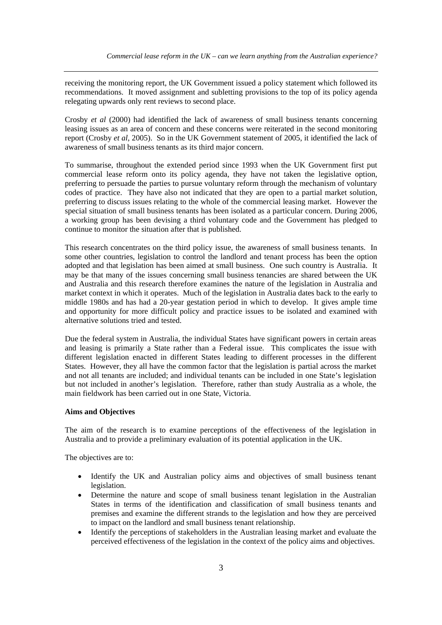receiving the monitoring report, the UK Government issued a policy statement which followed its recommendations. It moved assignment and subletting provisions to the top of its policy agenda relegating upwards only rent reviews to second place.

Crosby *et al* (2000) had identified the lack of awareness of small business tenants concerning leasing issues as an area of concern and these concerns were reiterated in the second monitoring report (Crosby *et al*, 2005). So in the UK Government statement of 2005, it identified the lack of awareness of small business tenants as its third major concern.

To summarise, throughout the extended period since 1993 when the UK Government first put commercial lease reform onto its policy agenda, they have not taken the legislative option, preferring to persuade the parties to pursue voluntary reform through the mechanism of voluntary codes of practice. They have also not indicated that they are open to a partial market solution, preferring to discuss issues relating to the whole of the commercial leasing market. However the special situation of small business tenants has been isolated as a particular concern. During 2006, a working group has been devising a third voluntary code and the Government has pledged to continue to monitor the situation after that is published.

This research concentrates on the third policy issue, the awareness of small business tenants. In some other countries, legislation to control the landlord and tenant process has been the option adopted and that legislation has been aimed at small business. One such country is Australia. It may be that many of the issues concerning small business tenancies are shared between the UK and Australia and this research therefore examines the nature of the legislation in Australia and market context in which it operates. Much of the legislation in Australia dates back to the early to middle 1980s and has had a 20-year gestation period in which to develop. It gives ample time and opportunity for more difficult policy and practice issues to be isolated and examined with alternative solutions tried and tested.

Due the federal system in Australia, the individual States have significant powers in certain areas and leasing is primarily a State rather than a Federal issue. This complicates the issue with different legislation enacted in different States leading to different processes in the different States. However, they all have the common factor that the legislation is partial across the market and not all tenants are included; and individual tenants can be included in one State's legislation but not included in another's legislation. Therefore, rather than study Australia as a whole, the main fieldwork has been carried out in one State, Victoria.

#### **Aims and Objectives**

The aim of the research is to examine perceptions of the effectiveness of the legislation in Australia and to provide a preliminary evaluation of its potential application in the UK.

The objectives are to:

- Identify the UK and Australian policy aims and objectives of small business tenant legislation.
- Determine the nature and scope of small business tenant legislation in the Australian States in terms of the identification and classification of small business tenants and premises and examine the different strands to the legislation and how they are perceived to impact on the landlord and small business tenant relationship.
- Identify the perceptions of stakeholders in the Australian leasing market and evaluate the perceived effectiveness of the legislation in the context of the policy aims and objectives.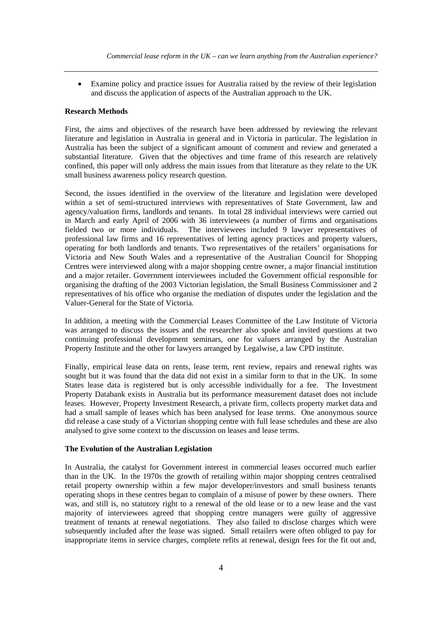• Examine policy and practice issues for Australia raised by the review of their legislation and discuss the application of aspects of the Australian approach to the UK.

#### **Research Methods**

First, the aims and objectives of the research have been addressed by reviewing the relevant literature and legislation in Australia in general and in Victoria in particular. The legislation in Australia has been the subject of a significant amount of comment and review and generated a substantial literature. Given that the objectives and time frame of this research are relatively confined, this paper will only address the main issues from that literature as they relate to the UK small business awareness policy research question.

Second, the issues identified in the overview of the literature and legislation were developed within a set of semi-structured interviews with representatives of State Government, law and agency/valuation firms, landlords and tenants. In total 28 individual interviews were carried out in March and early April of 2006 with 36 interviewees (a number of firms and organisations fielded two or more individuals. The interviewees included 9 lawyer representatives of professional law firms and 16 representatives of letting agency practices and property valuers, operating for both landlords and tenants. Two representatives of the retailers' organisations for Victoria and New South Wales and a representative of the Australian Council for Shopping Centres were interviewed along with a major shopping centre owner, a major financial institution and a major retailer. Government interviewees included the Government official responsible for organising the drafting of the 2003 Victorian legislation, the Small Business Commissioner and 2 representatives of his office who organise the mediation of disputes under the legislation and the Valuer-General for the State of Victoria.

In addition, a meeting with the Commercial Leases Committee of the Law Institute of Victoria was arranged to discuss the issues and the researcher also spoke and invited questions at two continuing professional development seminars, one for valuers arranged by the Australian Property Institute and the other for lawyers arranged by Legalwise, a law CPD institute.

Finally, empirical lease data on rents, lease term, rent review, repairs and renewal rights was sought but it was found that the data did not exist in a similar form to that in the UK. In some States lease data is registered but is only accessible individually for a fee. The Investment Property Databank exists in Australia but its performance measurement dataset does not include leases. However, Property Investment Research, a private firm, collects property market data and had a small sample of leases which has been analysed for lease terms. One anonymous source did release a case study of a Victorian shopping centre with full lease schedules and these are also analysed to give some context to the discussion on leases and lease terms.

#### **The Evolution of the Australian Legislation**

In Australia, the catalyst for Government interest in commercial leases occurred much earlier than in the UK. In the 1970s the growth of retailing within major shopping centres centralised retail property ownership within a few major developer/investors and small business tenants operating shops in these centres began to complain of a misuse of power by these owners. There was, and still is, no statutory right to a renewal of the old lease or to a new lease and the vast majority of interviewees agreed that shopping centre managers were guilty of aggressive treatment of tenants at renewal negotiations. They also failed to disclose charges which were subsequently included after the lease was signed. Small retailers were often obliged to pay for inappropriate items in service charges, complete refits at renewal, design fees for the fit out and,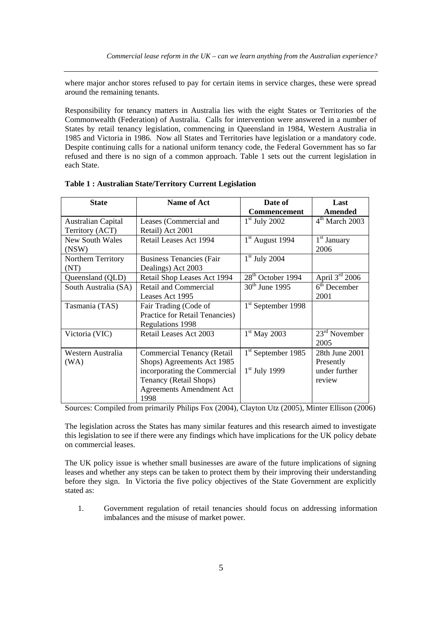where major anchor stores refused to pay for certain items in service charges, these were spread around the remaining tenants.

Responsibility for tenancy matters in Australia lies with the eight States or Territories of the Commonwealth (Federation) of Australia. Calls for intervention were answered in a number of States by retail tenancy legislation, commencing in Queensland in 1984, Western Australia in 1985 and Victoria in 1986. Now all States and Territories have legislation or a mandatory code. Despite continuing calls for a national uniform tenancy code, the Federal Government has so far refused and there is no sign of a common approach. Table 1 sets out the current legislation in each State.

| <b>State</b>              | <b>Name of Act</b>              | Date of                        | Last             |
|---------------------------|---------------------------------|--------------------------------|------------------|
|                           |                                 | Commencement                   | Amended          |
| <b>Australian Capital</b> | Leases (Commercial and          | $1st$ July 2002                | $4th$ March 2003 |
| Territory (ACT)           | Retail) Act 2001                |                                |                  |
| New South Wales           | Retail Leases Act 1994          | $1st$ August 1994              | $1st$ January    |
| (NSW)                     |                                 |                                | 2006             |
| Northern Territory        | <b>Business Tenancies (Fair</b> | $1st$ July 2004                |                  |
| (NT)                      | Dealings) Act 2003              |                                |                  |
| Queensland (QLD)          | Retail Shop Leases Act 1994     | 28 <sup>th</sup> October 1994  | April $3rd$ 2006 |
| South Australia (SA)      | <b>Retail and Commercial</b>    | $30th$ June 1995               | $6th$ December   |
|                           | Leases Act 1995                 |                                | 2001             |
| Tasmania (TAS)            | Fair Trading (Code of           | 1 <sup>st</sup> September 1998 |                  |
|                           | Practice for Retail Tenancies)  |                                |                  |
|                           | Regulations 1998                |                                |                  |
| Victoria (VIC)            | Retail Leases Act 2003          | $1st$ May 2003                 | $23rd$ November  |
|                           |                                 |                                | 2005             |
| Western Australia         | Commercial Tenancy (Retail      | 1 <sup>st</sup> September 1985 | 28th June 2001   |
| (WA)                      | Shops) Agreements Act 1985      |                                | Presently        |
|                           | incorporating the Commercial    | $1st$ July 1999                | under further    |
|                           | Tenancy (Retail Shops)          |                                | review           |
|                           | <b>Agreements Amendment Act</b> |                                |                  |
|                           | 1998                            |                                |                  |

| Table 1: Australian State/Territory Current Legislation |  |  |  |  |  |  |
|---------------------------------------------------------|--|--|--|--|--|--|
|---------------------------------------------------------|--|--|--|--|--|--|

Sources: Compiled from primarily Philips Fox (2004), Clayton Utz (2005), Minter Ellison (2006)

The legislation across the States has many similar features and this research aimed to investigate this legislation to see if there were any findings which have implications for the UK policy debate on commercial leases.

The UK policy issue is whether small businesses are aware of the future implications of signing leases and whether any steps can be taken to protect them by their improving their understanding before they sign. In Victoria the five policy objectives of the State Government are explicitly stated as:

1. Government regulation of retail tenancies should focus on addressing information imbalances and the misuse of market power.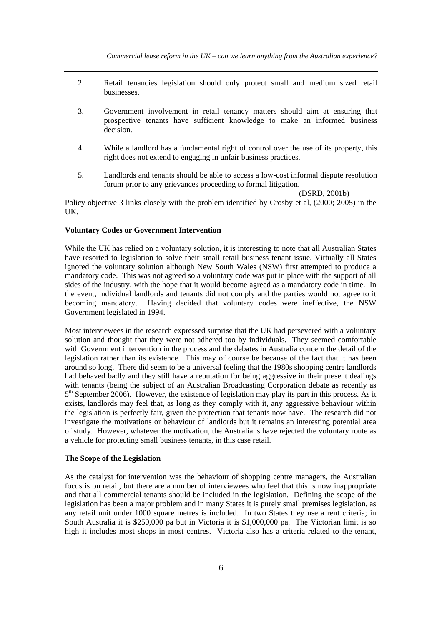- 2. Retail tenancies legislation should only protect small and medium sized retail businesses.
- 3. Government involvement in retail tenancy matters should aim at ensuring that prospective tenants have sufficient knowledge to make an informed business decision.
- 4. While a landlord has a fundamental right of control over the use of its property, this right does not extend to engaging in unfair business practices.
- 5. Landlords and tenants should be able to access a low-cost informal dispute resolution forum prior to any grievances proceeding to formal litigation.

(DSRD, 2001b)

Policy objective 3 links closely with the problem identified by Crosby et al, (2000; 2005) in the UK.

#### **Voluntary Codes or Government Intervention**

While the UK has relied on a voluntary solution, it is interesting to note that all Australian States have resorted to legislation to solve their small retail business tenant issue. Virtually all States ignored the voluntary solution although New South Wales (NSW) first attempted to produce a mandatory code. This was not agreed so a voluntary code was put in place with the support of all sides of the industry, with the hope that it would become agreed as a mandatory code in time. In the event, individual landlords and tenants did not comply and the parties would not agree to it becoming mandatory. Having decided that voluntary codes were ineffective, the NSW Government legislated in 1994.

Most interviewees in the research expressed surprise that the UK had persevered with a voluntary solution and thought that they were not adhered too by individuals. They seemed comfortable with Government intervention in the process and the debates in Australia concern the detail of the legislation rather than its existence. This may of course be because of the fact that it has been around so long. There did seem to be a universal feeling that the 1980s shopping centre landlords had behaved badly and they still have a reputation for being aggressive in their present dealings with tenants (being the subject of an Australian Broadcasting Corporation debate as recently as  $5<sup>th</sup>$  September 2006). However, the existence of legislation may play its part in this process. As it exists, landlords may feel that, as long as they comply with it, any aggressive behaviour within the legislation is perfectly fair, given the protection that tenants now have. The research did not investigate the motivations or behaviour of landlords but it remains an interesting potential area of study. However, whatever the motivation, the Australians have rejected the voluntary route as a vehicle for protecting small business tenants, in this case retail.

#### **The Scope of the Legislation**

As the catalyst for intervention was the behaviour of shopping centre managers, the Australian focus is on retail, but there are a number of interviewees who feel that this is now inappropriate and that all commercial tenants should be included in the legislation. Defining the scope of the legislation has been a major problem and in many States it is purely small premises legislation, as any retail unit under 1000 square metres is included. In two States they use a rent criteria; in South Australia it is \$250,000 pa but in Victoria it is \$1,000,000 pa. The Victorian limit is so high it includes most shops in most centres. Victoria also has a criteria related to the tenant,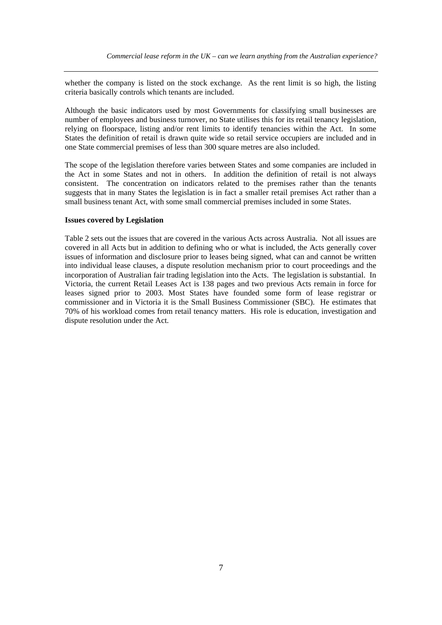whether the company is listed on the stock exchange. As the rent limit is so high, the listing criteria basically controls which tenants are included.

Although the basic indicators used by most Governments for classifying small businesses are number of employees and business turnover, no State utilises this for its retail tenancy legislation, relying on floorspace, listing and/or rent limits to identify tenancies within the Act. In some States the definition of retail is drawn quite wide so retail service occupiers are included and in one State commercial premises of less than 300 square metres are also included.

The scope of the legislation therefore varies between States and some companies are included in the Act in some States and not in others. In addition the definition of retail is not always consistent. The concentration on indicators related to the premises rather than the tenants suggests that in many States the legislation is in fact a smaller retail premises Act rather than a small business tenant Act, with some small commercial premises included in some States.

#### **Issues covered by Legislation**

Table 2 sets out the issues that are covered in the various Acts across Australia. Not all issues are covered in all Acts but in addition to defining who or what is included, the Acts generally cover issues of information and disclosure prior to leases being signed, what can and cannot be written into individual lease clauses, a dispute resolution mechanism prior to court proceedings and the incorporation of Australian fair trading legislation into the Acts. The legislation is substantial. In Victoria, the current Retail Leases Act is 138 pages and two previous Acts remain in force for leases signed prior to 2003. Most States have founded some form of lease registrar or commissioner and in Victoria it is the Small Business Commissioner (SBC). He estimates that 70% of his workload comes from retail tenancy matters. His role is education, investigation and dispute resolution under the Act.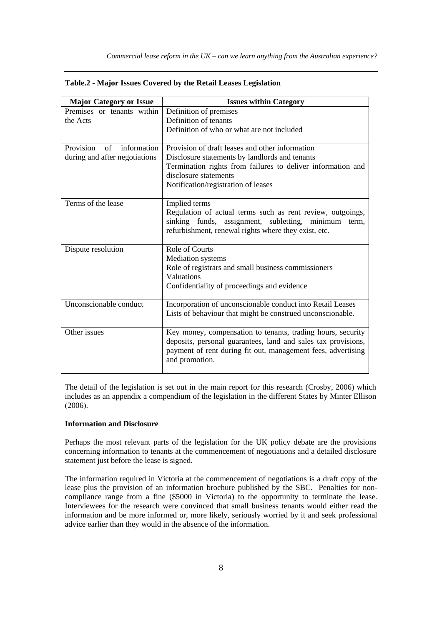| <b>Major Category or Issue</b>         | <b>Issues within Category</b>                                 |  |  |
|----------------------------------------|---------------------------------------------------------------|--|--|
| Premises or tenants within             | Definition of premises                                        |  |  |
| the Acts                               | Definition of tenants                                         |  |  |
|                                        | Definition of who or what are not included                    |  |  |
|                                        |                                                               |  |  |
| Provision<br>$\alpha$ f<br>information | Provision of draft leases and other information               |  |  |
| during and after negotiations          | Disclosure statements by landlords and tenants                |  |  |
|                                        | Termination rights from failures to deliver information and   |  |  |
|                                        | disclosure statements                                         |  |  |
|                                        | Notification/registration of leases                           |  |  |
|                                        |                                                               |  |  |
| Terms of the lease                     | Implied terms                                                 |  |  |
|                                        | Regulation of actual terms such as rent review, outgoings,    |  |  |
|                                        | sinking funds, assignment, subletting,<br>minimum<br>term,    |  |  |
|                                        | refurbishment, renewal rights where they exist, etc.          |  |  |
| Dispute resolution                     | <b>Role of Courts</b>                                         |  |  |
|                                        | <b>Mediation</b> systems                                      |  |  |
|                                        | Role of registrars and small business commissioners           |  |  |
|                                        | Valuations                                                    |  |  |
|                                        | Confidentiality of proceedings and evidence                   |  |  |
|                                        |                                                               |  |  |
| Unconscionable conduct                 | Incorporation of unconscionable conduct into Retail Leases    |  |  |
|                                        | Lists of behaviour that might be construed unconscionable.    |  |  |
|                                        |                                                               |  |  |
| Other issues                           | Key money, compensation to tenants, trading hours, security   |  |  |
|                                        | deposits, personal guarantees, land and sales tax provisions, |  |  |
|                                        | payment of rent during fit out, management fees, advertising  |  |  |
|                                        | and promotion.                                                |  |  |
|                                        |                                                               |  |  |

|  |  |  |  |  |  |  |  | Table.2 - Major Issues Covered by the Retail Leases Legislation |
|--|--|--|--|--|--|--|--|-----------------------------------------------------------------|
|--|--|--|--|--|--|--|--|-----------------------------------------------------------------|

The detail of the legislation is set out in the main report for this research (Crosby, 2006) which includes as an appendix a compendium of the legislation in the different States by Minter Ellison (2006).

#### **Information and Disclosure**

Perhaps the most relevant parts of the legislation for the UK policy debate are the provisions concerning information to tenants at the commencement of negotiations and a detailed disclosure statement just before the lease is signed.

The information required in Victoria at the commencement of negotiations is a draft copy of the lease plus the provision of an information brochure published by the SBC. Penalties for noncompliance range from a fine (\$5000 in Victoria) to the opportunity to terminate the lease. Interviewees for the research were convinced that small business tenants would either read the information and be more informed or, more likely, seriously worried by it and seek professional advice earlier than they would in the absence of the information.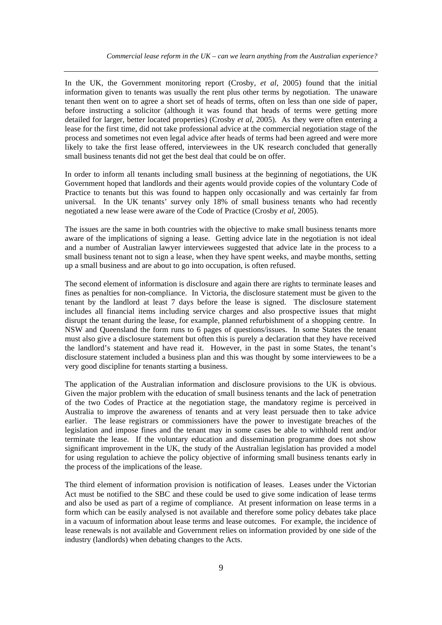In the UK, the Government monitoring report (Crosby, *et al*, 2005) found that the initial information given to tenants was usually the rent plus other terms by negotiation. The unaware tenant then went on to agree a short set of heads of terms, often on less than one side of paper, before instructing a solicitor (although it was found that heads of terms were getting more detailed for larger, better located properties) (Crosby *et al*, 2005). As they were often entering a lease for the first time, did not take professional advice at the commercial negotiation stage of the process and sometimes not even legal advice after heads of terms had been agreed and were more likely to take the first lease offered, interviewees in the UK research concluded that generally small business tenants did not get the best deal that could be on offer.

In order to inform all tenants including small business at the beginning of negotiations, the UK Government hoped that landlords and their agents would provide copies of the voluntary Code of Practice to tenants but this was found to happen only occasionally and was certainly far from universal. In the UK tenants' survey only 18% of small business tenants who had recently negotiated a new lease were aware of the Code of Practice (Crosby *et al*, 2005).

The issues are the same in both countries with the objective to make small business tenants more aware of the implications of signing a lease. Getting advice late in the negotiation is not ideal and a number of Australian lawyer interviewees suggested that advice late in the process to a small business tenant not to sign a lease, when they have spent weeks, and maybe months, setting up a small business and are about to go into occupation, is often refused.

The second element of information is disclosure and again there are rights to terminate leases and fines as penalties for non-compliance. In Victoria, the disclosure statement must be given to the tenant by the landlord at least 7 days before the lease is signed. The disclosure statement includes all financial items including service charges and also prospective issues that might disrupt the tenant during the lease, for example, planned refurbishment of a shopping centre. In NSW and Queensland the form runs to 6 pages of questions/issues. In some States the tenant must also give a disclosure statement but often this is purely a declaration that they have received the landlord's statement and have read it. However, in the past in some States, the tenant's disclosure statement included a business plan and this was thought by some interviewees to be a very good discipline for tenants starting a business.

The application of the Australian information and disclosure provisions to the UK is obvious. Given the major problem with the education of small business tenants and the lack of penetration of the two Codes of Practice at the negotiation stage, the mandatory regime is perceived in Australia to improve the awareness of tenants and at very least persuade then to take advice earlier. The lease registrars or commissioners have the power to investigate breaches of the legislation and impose fines and the tenant may in some cases be able to withhold rent and/or terminate the lease. If the voluntary education and dissemination programme does not show significant improvement in the UK, the study of the Australian legislation has provided a model for using regulation to achieve the policy objective of informing small business tenants early in the process of the implications of the lease.

The third element of information provision is notification of leases. Leases under the Victorian Act must be notified to the SBC and these could be used to give some indication of lease terms and also be used as part of a regime of compliance. At present information on lease terms in a form which can be easily analysed is not available and therefore some policy debates take place in a vacuum of information about lease terms and lease outcomes. For example, the incidence of lease renewals is not available and Government relies on information provided by one side of the industry (landlords) when debating changes to the Acts.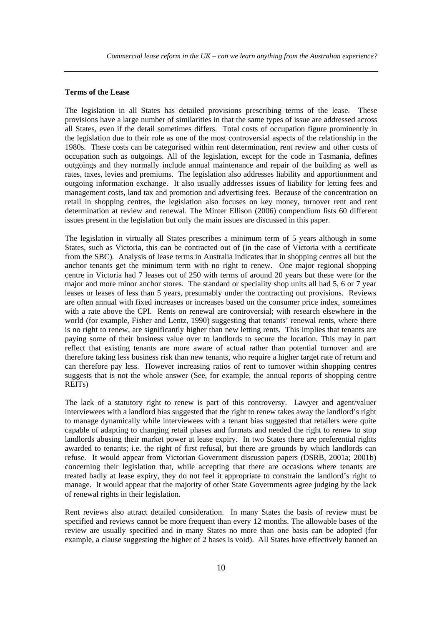#### **Terms of the Lease**

The legislation in all States has detailed provisions prescribing terms of the lease. These provisions have a large number of similarities in that the same types of issue are addressed across all States, even if the detail sometimes differs. Total costs of occupation figure prominently in the legislation due to their role as one of the most controversial aspects of the relationship in the 1980s. These costs can be categorised within rent determination, rent review and other costs of occupation such as outgoings. All of the legislation, except for the code in Tasmania, defines outgoings and they normally include annual maintenance and repair of the building as well as rates, taxes, levies and premiums. The legislation also addresses liability and apportionment and outgoing information exchange. It also usually addresses issues of liability for letting fees and management costs, land tax and promotion and advertising fees. Because of the concentration on retail in shopping centres, the legislation also focuses on key money, turnover rent and rent determination at review and renewal. The Minter Ellison (2006) compendium lists 60 different issues present in the legislation but only the main issues are discussed in this paper.

The legislation in virtually all States prescribes a minimum term of 5 years although in some States, such as Victoria, this can be contracted out of (in the case of Victoria with a certificate from the SBC). Analysis of lease terms in Australia indicates that in shopping centres all but the anchor tenants get the minimum term with no right to renew. One major regional shopping centre in Victoria had 7 leases out of 250 with terms of around 20 years but these were for the major and more minor anchor stores. The standard or speciality shop units all had 5, 6 or 7 year leases or leases of less than 5 years, presumably under the contracting out provisions. Reviews are often annual with fixed increases or increases based on the consumer price index, sometimes with a rate above the CPI. Rents on renewal are controversial; with research elsewhere in the world (for example, Fisher and Lentz, 1990) suggesting that tenants' renewal rents, where there is no right to renew, are significantly higher than new letting rents. This implies that tenants are paying some of their business value over to landlords to secure the location. This may in part reflect that existing tenants are more aware of actual rather than potential turnover and are therefore taking less business risk than new tenants, who require a higher target rate of return and can therefore pay less. However increasing ratios of rent to turnover within shopping centres suggests that is not the whole answer (See, for example, the annual reports of shopping centre REITs)

The lack of a statutory right to renew is part of this controversy. Lawyer and agent/valuer interviewees with a landlord bias suggested that the right to renew takes away the landlord's right to manage dynamically while interviewees with a tenant bias suggested that retailers were quite capable of adapting to changing retail phases and formats and needed the right to renew to stop landlords abusing their market power at lease expiry. In two States there are preferential rights awarded to tenants; i.e. the right of first refusal, but there are grounds by which landlords can refuse. It would appear from Victorian Government discussion papers (DSRB, 2001a; 2001b) concerning their legislation that, while accepting that there are occasions where tenants are treated badly at lease expiry, they do not feel it appropriate to constrain the landlord's right to manage. It would appear that the majority of other State Governments agree judging by the lack of renewal rights in their legislation.

Rent reviews also attract detailed consideration. In many States the basis of review must be specified and reviews cannot be more frequent than every 12 months. The allowable bases of the review are usually specified and in many States no more than one basis can be adopted (for example, a clause suggesting the higher of 2 bases is void). All States have effectively banned an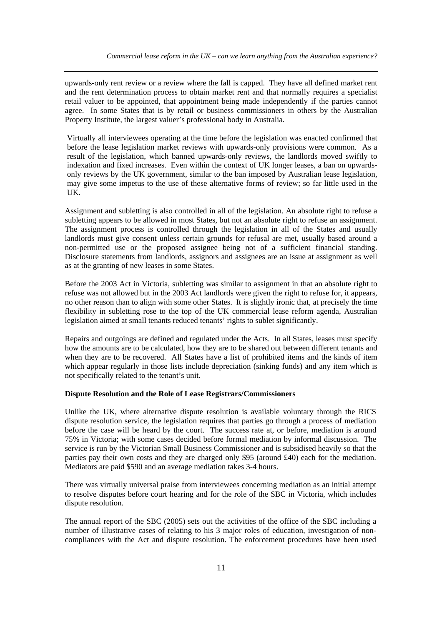upwards-only rent review or a review where the fall is capped. They have all defined market rent and the rent determination process to obtain market rent and that normally requires a specialist retail valuer to be appointed, that appointment being made independently if the parties cannot agree. In some States that is by retail or business commissioners in others by the Australian Property Institute, the largest valuer's professional body in Australia.

Virtually all interviewees operating at the time before the legislation was enacted confirmed that before the lease legislation market reviews with upwards-only provisions were common. As a result of the legislation, which banned upwards-only reviews, the landlords moved swiftly to indexation and fixed increases. Even within the context of UK longer leases, a ban on upwardsonly reviews by the UK government, similar to the ban imposed by Australian lease legislation, may give some impetus to the use of these alternative forms of review; so far little used in the UK.

Assignment and subletting is also controlled in all of the legislation. An absolute right to refuse a subletting appears to be allowed in most States, but not an absolute right to refuse an assignment. The assignment process is controlled through the legislation in all of the States and usually landlords must give consent unless certain grounds for refusal are met, usually based around a non-permitted use or the proposed assignee being not of a sufficient financial standing. Disclosure statements from landlords, assignors and assignees are an issue at assignment as well as at the granting of new leases in some States.

Before the 2003 Act in Victoria, subletting was similar to assignment in that an absolute right to refuse was not allowed but in the 2003 Act landlords were given the right to refuse for, it appears, no other reason than to align with some other States. It is slightly ironic that, at precisely the time flexibility in subletting rose to the top of the UK commercial lease reform agenda, Australian legislation aimed at small tenants reduced tenants' rights to sublet significantly.

Repairs and outgoings are defined and regulated under the Acts. In all States, leases must specify how the amounts are to be calculated, how they are to be shared out between different tenants and when they are to be recovered. All States have a list of prohibited items and the kinds of item which appear regularly in those lists include depreciation (sinking funds) and any item which is not specifically related to the tenant's unit.

#### **Dispute Resolution and the Role of Lease Registrars/Commissioners**

Unlike the UK, where alternative dispute resolution is available voluntary through the RICS dispute resolution service, the legislation requires that parties go through a process of mediation before the case will be heard by the court. The success rate at, or before, mediation is around 75% in Victoria; with some cases decided before formal mediation by informal discussion. The service is run by the Victorian Small Business Commissioner and is subsidised heavily so that the parties pay their own costs and they are charged only \$95 (around £40) each for the mediation. Mediators are paid \$590 and an average mediation takes 3-4 hours.

There was virtually universal praise from interviewees concerning mediation as an initial attempt to resolve disputes before court hearing and for the role of the SBC in Victoria, which includes dispute resolution.

The annual report of the SBC (2005) sets out the activities of the office of the SBC including a number of illustrative cases of relating to his 3 major roles of education, investigation of noncompliances with the Act and dispute resolution. The enforcement procedures have been used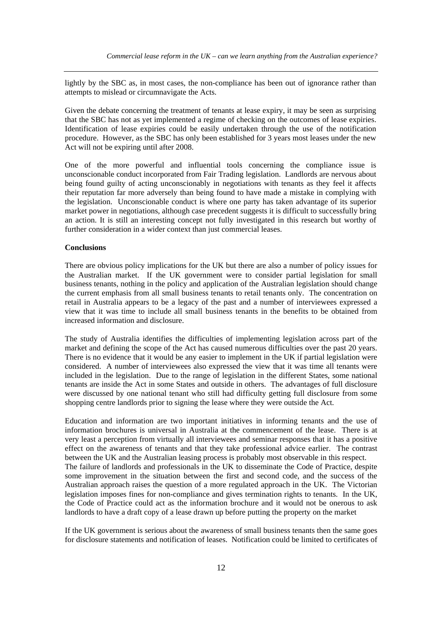lightly by the SBC as, in most cases, the non-compliance has been out of ignorance rather than attempts to mislead or circumnavigate the Acts.

Given the debate concerning the treatment of tenants at lease expiry, it may be seen as surprising that the SBC has not as yet implemented a regime of checking on the outcomes of lease expiries. Identification of lease expiries could be easily undertaken through the use of the notification procedure. However, as the SBC has only been established for 3 years most leases under the new Act will not be expiring until after 2008.

One of the more powerful and influential tools concerning the compliance issue is unconscionable conduct incorporated from Fair Trading legislation. Landlords are nervous about being found guilty of acting unconscionably in negotiations with tenants as they feel it affects their reputation far more adversely than being found to have made a mistake in complying with the legislation. Unconscionable conduct is where one party has taken advantage of its superior market power in negotiations, although case precedent suggests it is difficult to successfully bring an action. It is still an interesting concept not fully investigated in this research but worthy of further consideration in a wider context than just commercial leases.

#### **Conclusions**

There are obvious policy implications for the UK but there are also a number of policy issues for the Australian market. If the UK government were to consider partial legislation for small business tenants, nothing in the policy and application of the Australian legislation should change the current emphasis from all small business tenants to retail tenants only. The concentration on retail in Australia appears to be a legacy of the past and a number of interviewees expressed a view that it was time to include all small business tenants in the benefits to be obtained from increased information and disclosure.

The study of Australia identifies the difficulties of implementing legislation across part of the market and defining the scope of the Act has caused numerous difficulties over the past 20 years. There is no evidence that it would be any easier to implement in the UK if partial legislation were considered. A number of interviewees also expressed the view that it was time all tenants were included in the legislation. Due to the range of legislation in the different States, some national tenants are inside the Act in some States and outside in others. The advantages of full disclosure were discussed by one national tenant who still had difficulty getting full disclosure from some shopping centre landlords prior to signing the lease where they were outside the Act.

Education and information are two important initiatives in informing tenants and the use of information brochures is universal in Australia at the commencement of the lease. There is at very least a perception from virtually all interviewees and seminar responses that it has a positive effect on the awareness of tenants and that they take professional advice earlier. The contrast between the UK and the Australian leasing process is probably most observable in this respect. The failure of landlords and professionals in the UK to disseminate the Code of Practice, despite some improvement in the situation between the first and second code, and the success of the Australian approach raises the question of a more regulated approach in the UK. The Victorian legislation imposes fines for non-compliance and gives termination rights to tenants. In the UK, the Code of Practice could act as the information brochure and it would not be onerous to ask landlords to have a draft copy of a lease drawn up before putting the property on the market

If the UK government is serious about the awareness of small business tenants then the same goes for disclosure statements and notification of leases. Notification could be limited to certificates of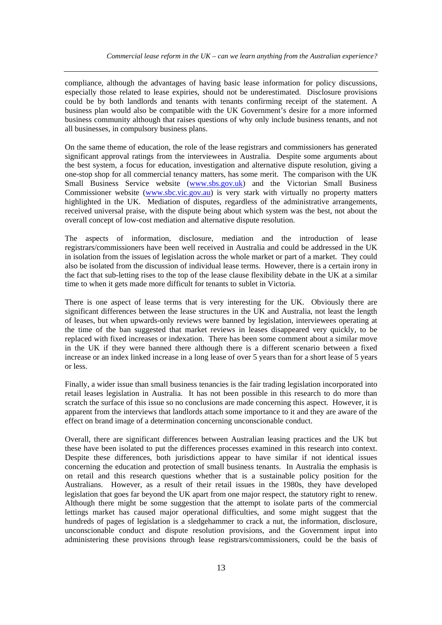compliance, although the advantages of having basic lease information for policy discussions, especially those related to lease expiries, should not be underestimated. Disclosure provisions could be by both landlords and tenants with tenants confirming receipt of the statement. A business plan would also be compatible with the UK Government's desire for a more informed business community although that raises questions of why only include business tenants, and not all businesses, in compulsory business plans.

On the same theme of education, the role of the lease registrars and commissioners has generated significant approval ratings from the interviewees in Australia. Despite some arguments about the best system, a focus for education, investigation and alternative dispute resolution, giving a one-stop shop for all commercial tenancy matters, has some merit. The comparison with the UK Small Business Service website (www.sbs.gov.uk) and the Victorian Small Business Commissioner website (www.sbc.vic.gov.au) is very stark with virtually no property matters highlighted in the UK. Mediation of disputes, regardless of the administrative arrangements, received universal praise, with the dispute being about which system was the best, not about the overall concept of low-cost mediation and alternative dispute resolution.

The aspects of information, disclosure, mediation and the introduction of lease registrars/commissioners have been well received in Australia and could be addressed in the UK in isolation from the issues of legislation across the whole market or part of a market. They could also be isolated from the discussion of individual lease terms. However, there is a certain irony in the fact that sub-letting rises to the top of the lease clause flexibility debate in the UK at a similar time to when it gets made more difficult for tenants to sublet in Victoria.

There is one aspect of lease terms that is very interesting for the UK. Obviously there are significant differences between the lease structures in the UK and Australia, not least the length of leases, but when upwards-only reviews were banned by legislation, interviewees operating at the time of the ban suggested that market reviews in leases disappeared very quickly, to be replaced with fixed increases or indexation. There has been some comment about a similar move in the UK if they were banned there although there is a different scenario between a fixed increase or an index linked increase in a long lease of over 5 years than for a short lease of 5 years or less.

Finally, a wider issue than small business tenancies is the fair trading legislation incorporated into retail leases legislation in Australia. It has not been possible in this research to do more than scratch the surface of this issue so no conclusions are made concerning this aspect. However, it is apparent from the interviews that landlords attach some importance to it and they are aware of the effect on brand image of a determination concerning unconscionable conduct.

Overall, there are significant differences between Australian leasing practices and the UK but these have been isolated to put the differences processes examined in this research into context. Despite these differences, both jurisdictions appear to have similar if not identical issues concerning the education and protection of small business tenants. In Australia the emphasis is on retail and this research questions whether that is a sustainable policy position for the Australians. However, as a result of their retail issues in the 1980s, they have developed legislation that goes far beyond the UK apart from one major respect, the statutory right to renew. Although there might be some suggestion that the attempt to isolate parts of the commercial lettings market has caused major operational difficulties, and some might suggest that the hundreds of pages of legislation is a sledgehammer to crack a nut, the information, disclosure, unconscionable conduct and dispute resolution provisions, and the Government input into administering these provisions through lease registrars/commissioners, could be the basis of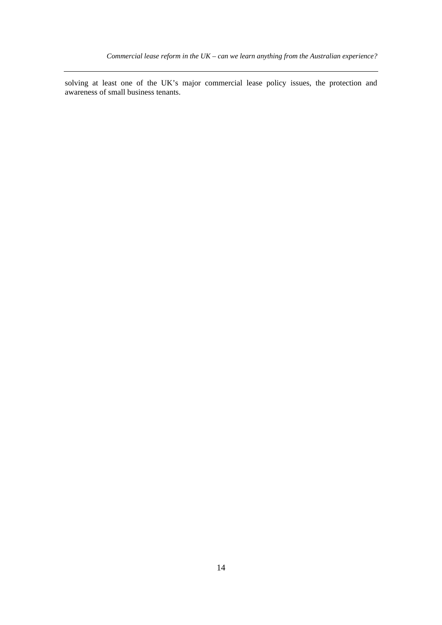solving at least one of the UK's major commercial lease policy issues, the protection and awareness of small business tenants.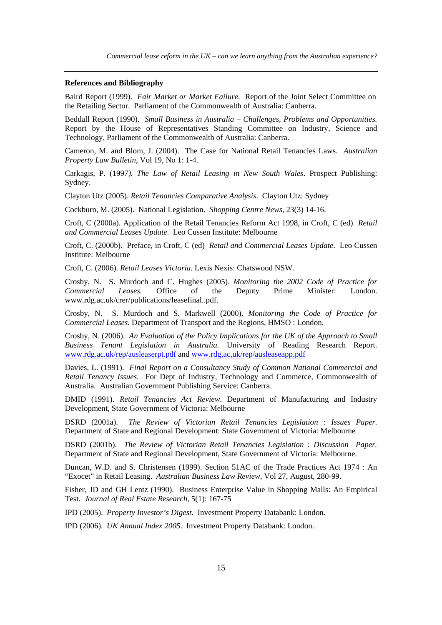#### **References and Bibliography**

Baird Report (1999). *Fair Market or Market Failure*. Report of the Joint Select Committee on the Retailing Sector. Parliament of the Commonwealth of Australia: Canberra.

Beddall Report (1990). *Small Business in Australia – Challenges, Problems and Opportunities.*  Report by the House of Representatives Standing Committee on Industry, Science and Technology, Parliament of the Commonwealth of Australia: Canberra.

Cameron, M. and Blom, J. (2004). The Case for National Retail Tenancies Laws. *Australian Property Law Bulletin*, Vol 19, No 1: 1-4.

Carkagis, P. (1997*). The Law of Retail Leasing in New South Wales*. Prospect Publishing: Sydney.

Clayton Utz (2005). *Retail Tenancies Comparative Analysis*. Clayton Utz: Sydney

Cockburn, M. (2005). National Legislation. *Shopping Centre News*, 23(3) 14-16.

Croft, C (2000a). Application of the Retail Tenancies Reform Act 1998, in Croft, C (ed) *Retail and Commercial Leases Update*. Leo Cussen Institute: Melbourne

Croft, C. (2000b). Preface, in Croft, C (ed) *Retail and Commercial Leases Update*. Leo Cussen Institute: Melbourne

Croft, C. (2006). *Retail Leases Victoria*. Lexis Nexis: Chatswood NSW.

Crosby, N. S. Murdoch and C. Hughes (2005). *Monitoring the 2002 Code of Practice for Commercial Leases.* Office of the Deputy Prime Minister: London. www.rdg.ac.uk/crer/publications/leasefinal..pdf.

Crosby, N. S. Murdoch and S. Markwell (2000). *Monitoring the Code of Practice for Commercial Leases*. Department of Transport and the Regions, HMSO : London.

Crosby, N. (2006). *An Evaluation of the Policy Implications for the UK of the Approach to Small Business Tenant Legislation in Australia.* University of Reading Research Report. www.rdg.ac.uk/rep/ausleaserpt.pdf and www.rdg,ac,uk/rep/ausleaseapp.pdf

Davies, L. (1991). *Final Report on a Consultancy Study of Common National Commercial and Retail Tenancy Issues*. For Dept of Industry, Technology and Commerce, Commonwealth of Australia. Australian Government Publishing Service: Canberra.

DMID (1991). *Retail Tenancies Act Review*. Department of Manufacturing and Industry Development, State Government of Victoria: Melbourne

DSRD (2001a). *The Review of Victorian Retail Tenancies Legislation : Issues Paper.* Department of State and Regional Development: State Government of Victoria: Melbourne

DSRD (2001b). *The Review of Victorian Retail Tenancies Legislation : Discussion Paper.*  Department of State and Regional Development, State Government of Victoria: Melbourne.

Duncan, W.D. and S. Christensen (1999). Section 51AC of the Trade Practices Act 1974 : An "Exocet" in Retail Leasing. *Australian Business Law Review*, Vol 27, August, 280-99.

Fisher, JD and GH Lentz (1990). Business Enterprise Value in Shopping Malls: An Empirical Test. *Journal of Real Estate Research*, 5(1): 167-75

IPD (2005). *Property Investor's Digest*. Investment Property Databank: London.

IPD (2006). *UK Annual Index 2005*. Investment Property Databank: London.